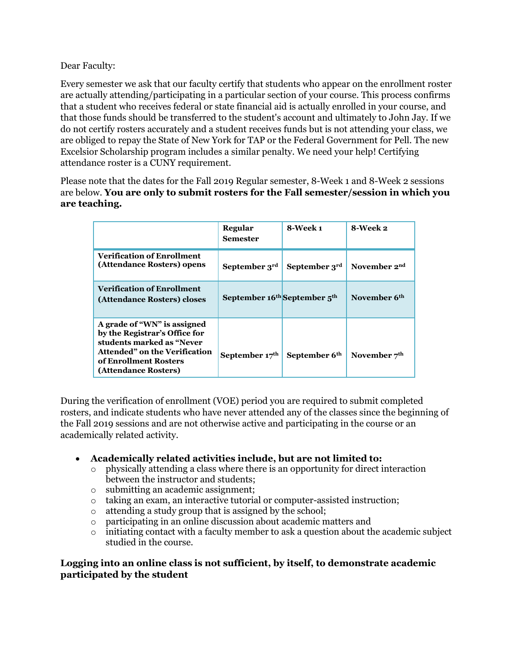Dear Faculty:

Every semester we ask that our faculty certify that students who appear on the enrollment roster are actually attending/participating in a particular section of your course. This process confirms that a student who receives federal or state financial aid is actually enrolled in your course, and that those funds should be transferred to the student's account and ultimately to John Jay. If we do not certify rosters accurately and a student receives funds but is not attending your class, we are obliged to repay the State of New York for TAP or the Federal Government for Pell. The new Excelsior Scholarship program includes a similar penalty. We need your help! Certifying attendance roster is a CUNY requirement.

Please note that the dates for the Fall 2019 Regular semester, 8-Week 1 and 8-Week 2 sessions are below. **You are only to submit rosters for the Fall semester/session in which you are teaching.** 

|                                                                                                                                                                             | Regular<br><b>Semester</b>                           | 8-Week 1      | 8-Week 2                 |
|-----------------------------------------------------------------------------------------------------------------------------------------------------------------------------|------------------------------------------------------|---------------|--------------------------|
| <b>Verification of Enrollment</b><br>(Attendance Rosters) opens                                                                                                             | September 3rd                                        | September 3rd | November 2 <sup>nd</sup> |
| <b>Verification of Enrollment</b><br>(Attendance Rosters) closes                                                                                                            | September 16 <sup>th</sup> September 5 <sup>th</sup> |               | November 6 <sup>th</sup> |
| A grade of "WN" is assigned<br>by the Registrar's Office for<br>students marked as "Never<br>Attended" on the Verification<br>of Enrollment Rosters<br>(Attendance Rosters) | September $17th$                                     | September 6th | November $7th$           |

During the verification of enrollment (VOE) period you are required to submit completed rosters, and indicate students who have never attended any of the classes since the beginning of the Fall 2019 sessions and are not otherwise active and participating in the course or an academically related activity.

## • **Academically related activities include, but are not limited to:**

- o physically attending a class where there is an opportunity for direct interaction between the instructor and students;
- o submitting an academic assignment;
- $\circ$  taking an exam, an interactive tutorial or computer-assisted instruction;
- o attending a study group that is assigned by the school;
- o participating in an online discussion about academic matters and
- $\circ$  initiating contact with a faculty member to ask a question about the academic subject studied in the course.

## **Logging into an online class is not sufficient, by itself, to demonstrate academic participated by the student**